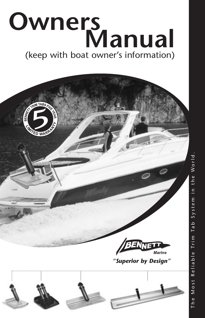

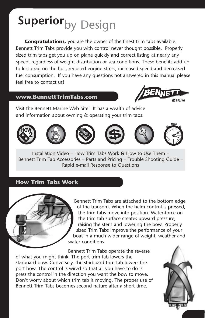# **Superior**by Design

**Congratulations,** you are the owner of the finest trim tabs available. Bennett Trim Tabs provide you with control never thought possible. Properly sized trim tabs get you up on plane quickly and correct listing at nearly any speed, regardless of weight distribution or sea conditions. These benefits add up to less drag on the hull, reduced engine stress, increased speed and decreased fuel consumption. If you have any questions not answered in this manual please feel free to contact us!

## **www.BennettTrimTabs.com**



Visit the Bennett Marine Web Site! It has a wealth of advice and information about owning & operating your trim tabs.















Installation Video – How Trim Tabs Work & How to Use Them – Bennett Trim Tab Accessories – Parts and Pricing – Trouble Shooting Guide – Rapid e-mail Response to Questions

# **How Trim Tabs Work**



Bennett Trim Tabs are attached to the bottom edge of the transom. When the helm control is pressed, the trim tabs move into position. Water-force on the trim tab surface creates upward pressure, raising the stern and lowering the bow. Properly sized Trim Tabs improve the performance of your boat in a much wider range of weight, weather and water conditions.

Bennett Trim Tabs operate the reverse of what you might think. The port trim tab lowers the starboard bow. Conversely, the starboard trim tab lowers the port bow. The control is wired so that all you have to do is press the control in the direction you want the bow to move. Don't worry about which trim tab is moving. The proper use of Bennett Trim Tabs becomes second nature after a short time.

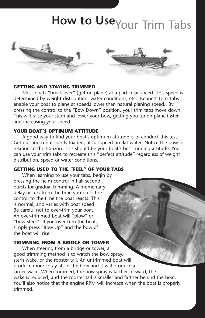# **How to Use**Your Trim Tabs



#### **GETTING AND STAYING TRIMMED**

Most boats "break over" (get on plane) at a particular speed. This speed is determined by weight distribution, water conditions, etc. Bennett Trim Tabs enable your boat to plane at speeds lower than natural planing speed. By pressing the control to the "Bow Down" position, your trim tabs move down. This will raise your stern and lower your bow, getting you up on plane faster and increasing your speed.

#### **YOUR BOAT'S OPTIMUM ATTITUDE**

A good way to find your boat's optimum attitude is to conduct this test. Get out and run it lightly loaded, at full speed on flat water. Notice the bow in relation to the horizon. This should be your boat's best running attitude. You can use your trim tabs to recreate this "perfect attitude" regardless of weight distribution, speed or water conditions.

#### **GETTING USED TO THE "FEEL" OF YOUR TABS**

When learning to use your tabs, begin by pressing the helm control in half second bursts for gradual trimming. A momentary delay occurs from the time you press the control to the time the boat reacts. This is normal, and varies with boat speed. Be careful not to over-trim your boat. An over-trimmed boat will "plow" or "bow-steer". If you over-trim the boat, simply press "Bow Up" and the bow of the boat will rise.

#### **TRIMMING FROM A BRIDGE OR TOWER**

When steering from a bridge or tower, a good trimming method is to watch the bow spray, stern wake, or the rooster tail. An untrimmed boat will produce more spray aft of the bow and it will produce a larger wake. When trimmed, the bow spray is farther forward, the wake is reduced, and the rooster tail is smaller and farther behind the boat. You'll also notice that the engine RPM will increase when the boat is properly trimmed.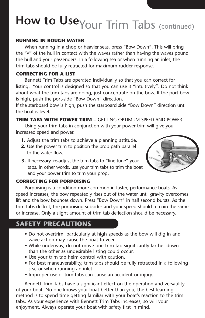# How to Use<sub>Your</sub> Trim Tabs (continued)

### **RUNNING IN ROUGH WATER**

When running in a chop or heavier seas, press "Bow Down". This will bring the "V" of the hull in contact with the waves rather than having the waves pound the hull and your passengers. In a following sea or when running an inlet, the trim tabs should be fully retracted for maximum rudder response.

### **CORRECTING FOR A LIST**

Bennett Trim Tabs are operated individually so that you can correct for listing. Your control is designed so that you can use it "intuitively". Do not think about what the trim tabs are doing, just concentrate on the bow. If the port bow is high, push the port-side "Bow Down" direction.

If the starboard bow is high, push the starboard side "Bow Down" direction until the boat is level.

**TRIM TABS WITH POWER TRIM –** GETTING OPTIMUM SPEED AND POWER Using your trim tabs in conjunction with your power trim will give you increased speed and power.

- **1.** Adjust the trim tabs to achieve a planning attitude.
- **2.** Use the power trim to position the prop path parallel to the water flow.
- **3.** If necessary, re-adjust the trim tabs to "fine tune" your tabs. In other words, use your trim tabs to trim the boat and your power trim to trim your prop.



### **CORRECTING FOR PORPOISING**

Porpoising is a condition more common in faster, performance boats. As speed increases, the bow repeatedly rises out of the water until gravity overcomes lift and the bow bounces down. Press "Bow Down" in half second bursts. As the trim tabs deflect, the porpoising subsides and your speed should remain the same or increase. Only a slight amount of trim tab deflection should be necessary.

# **SAFETY PRECAUTIONS**

- Do not overtrim, particularly at high speeds as the bow will dig in and wave action may cause the boat to veer.
- While underway, do not move one trim tab significantly farther down than the other as undesirable listing could occur.
- Use your trim tab helm control with caution.
- For best maneuverability, trim tabs should be fully retracted in a following sea, or when running an inlet.
- Improper use of trim tabs can cause an accident or injury.

Bennett Trim Tabs have a significant effect on the operation and versatility of your boat. No one knows your boat better than you, the best learning method is to spend time getting familiar with your boat's reaction to the trim tabs. As your experience with Bennett Trim Tabs increases, so will your enjoyment. Always operate your boat with safety first in mind.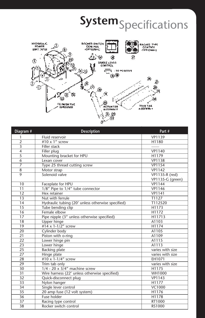# **System** Specifications



| Diagram #                 | Description                                       | Part#            |
|---------------------------|---------------------------------------------------|------------------|
| 1                         | Fluid reservoir                                   | VP1139           |
| $\overline{2}$            | #10 x 1" screw                                    | H1180            |
| $\overline{\overline{3}}$ | Filler stack                                      |                  |
| $\overline{4}$            | Filler plug                                       | <b>VP1140</b>    |
| $\overline{5}$            | Mounting bracket for HPU                          | H1179            |
| 6                         | Lexan cover                                       | <b>VP1138</b>    |
| $\overline{7}$            | Type 25 thread cutting screw                      | VP1154           |
| $\overline{8}$            | Motor strap                                       | <b>VP1142</b>    |
| $\overline{9}$            | Solenoid valve                                    | $VPI135-R$ (red) |
|                           |                                                   | VP1135-G (green) |
| 10                        | Faceplate for HPU                                 | <b>VP1144</b>    |
| $\overline{11}$           | 1/8" Pipe to 1/4" tube connector                  | <b>VP1146</b>    |
| 12                        | Hex retainer                                      | VP1141           |
| 13                        | Nut with ferrule                                  | T1127            |
| 14                        | Hydraulic tubing (20' unless otherwise specified) | T112520          |
| 15                        | Tube bending clip                                 | H1173            |
| 16                        | Female elbow                                      | H1172            |
| 17                        | Pipe nipple (3" unless otherwise specified)       | H11713           |
| 18                        | <b>Upper hinge</b>                                | A1103            |
| 19                        | #14 x 1-1/2" screw                                | H1174            |
| 20                        | Cylinder body                                     | A1105            |
| 21                        | Piston with o-ring                                | A1109            |
| 22                        | Lower hinge pin                                   | A1115            |
| 23                        | Lower hinge                                       | A1113            |
| 25                        | Backing plate                                     | varies with size |
| 27                        | Hinge plate                                       | varies with size |
| 28                        | #10 x 1-1/4" screw                                | EH1071           |
| 29                        | Trim tab only                                     | varies with size |
| $\overline{30}$           | $1/4$ - 20 x $3/4''$ machine screw                | H1175            |
| 31                        | Wire harness (22' unless otherwise specified)     | WH1000           |
| $\overline{32}$           | Quick-disconnect plug                             | VP1143           |
| 33                        | Nylon hanger                                      | H1177            |
| 34                        | Single lever control                              | VC1000           |
| 35                        | 20 amp fuse (12 volt system)                      | H1176            |
| 36                        | Fuse holder                                       | H1178            |
| 37                        | Racing type control                               | RT1000           |
| 38                        | Rocker switch control                             | RS1000           |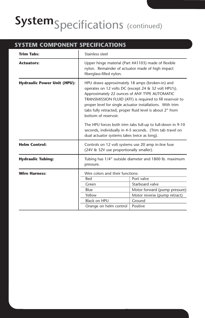# **System** Specifications (continued)

# **SYSTEM COMPONENT SPECIFICATIONS**

| <b>Trim Tabs:</b>                  | Stainless steel                                                                                                                                                                                                                                                                                                                                                                                                                                                                                                                                   |                                                                                                                      |  |
|------------------------------------|---------------------------------------------------------------------------------------------------------------------------------------------------------------------------------------------------------------------------------------------------------------------------------------------------------------------------------------------------------------------------------------------------------------------------------------------------------------------------------------------------------------------------------------------------|----------------------------------------------------------------------------------------------------------------------|--|
| <b>Actuators:</b>                  | Upper hinge material (Part #A1103) made of flexible<br>nylon. Remainder of actuator made of high impact<br>fiberglass-filled nylon.                                                                                                                                                                                                                                                                                                                                                                                                               |                                                                                                                      |  |
| <b>Hydraulic Power Unit (HPU):</b> | HPU draws approximately 18 amps (broken-in) and<br>operates on 12 volts DC (except 24 & 32 volt HPU's).<br>Approximately 22 ounces of ANY TYPE AUTOMATIC<br>TRANSMISSION FLUID (ATF) is required to fill reservoir to<br>proper level for single actuator installations. With trim<br>tabs fully retracted, proper fluid level is about 2" from<br>bottom of reservoir.<br>The HPU forces both trim tabs full-up to full-down in 9-10<br>seconds, individually in 4-5 seconds. (Trim tab travel on<br>dual actuator systems takes twice as long). |                                                                                                                      |  |
| <b>Helm Control:</b>               | Controls on 12 volt systems use 20 amp in-line fuse<br>(24V & 32V use proportionally smaller).                                                                                                                                                                                                                                                                                                                                                                                                                                                    |                                                                                                                      |  |
| <b>Hydraulic Tubing:</b>           | Tubing has 1/4" outside diameter and 1800 lb. maximum<br>pressure.                                                                                                                                                                                                                                                                                                                                                                                                                                                                                |                                                                                                                      |  |
| <b>Wire Harness:</b>               | Wire colors and their functions:<br>Red<br>Green<br>Blue<br>Yellow<br><b>Black on HPU</b><br>Orange on helm control                                                                                                                                                                                                                                                                                                                                                                                                                               | Port valve<br>Starboard valve<br>Motor forward (pump pressure)<br>Motor reverse (pump retract)<br>Ground<br>Positive |  |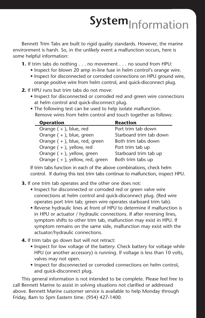# **System**<sub>Information</sub>

Bennett Trim Tabs are built to rigid quality standards. However, the marine environment is harsh. So, in the unlikely event a malfunction occurs, here is some helpful information:

- **1.** If trim tabs do nothing . . . no movement . . . no sound from HPU:
	- Inspect for blown 20 amp in-line fuse in helm control's orange wire.
	- Inspect for disconnected or corroded connections on HPU ground wire, orange positive wire from helm control, and quick-disconnect plug.
- **2.** If HPU runs but trim tabs do not move:
	- Inspect for disconnected or corroded red and green wire connections at helm control and quick-disconnect plug.
	- The following test can be used to help isolate malfunction. Remove wires from helm control and touch together as follows:

| <b>Operation</b>                | <b>Reaction</b>         |
|---------------------------------|-------------------------|
| Orange $(+)$ , blue, red        | Port trim tab down      |
| Orange $(+)$ , blue, green      | Starboard trim tab down |
| Orange $(+)$ , blue, red, green | Both trim tabs down     |
| Orange $(+)$ , yellow, red      | Port trim tab up        |
| Orange $(+)$ , yellow, green    | Starboard trim tab up   |
| Orange (+), yellow, red, green  | Both trim tabs up       |

If trim tabs function in each of the above combinations, check helm control. If during this test trim tabs continue to malfunction, inspect HPU.

- **3.** If one trim tab operates and the other one does not:
	- Inspect for disconnected or corroded red or green valve wire connections at helm control and quick-disconnect plug. (Red wire operates port trim tab; green wire operates starboard trim tab).
	- Reverse hydraulic lines at front of HPU to determine if malfunction is in HPU or actuator / hydraulic connections. If after reversing lines, symptom shifts to other trim tab, malfunction may exist in HPU. If symptom remains on the same side, malfunction may exist with the actuator/hydraulic connections.
- **4.** If trim tabs go down but will not retract:
	- Inspect for low voltage of the battery. Check battery for voltage while HPU (or another accessory) is running. If voltage is less than 10 volts, valves may not open.
	- Inspect for disconnected or corroded connections on helm control, and quick-disconnect plug.

This general information is not intended to be complete. Please feel free to call Bennett Marine to assist in solving situations not clarified or addressed above. Bennett Marine customer service is available to help Monday through Friday, 8am to 5pm Eastern time. (954) 427-1400.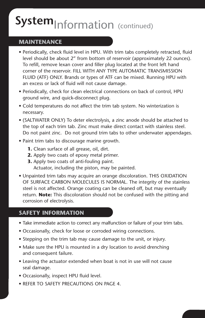# **System**Information (continued)

## **MAINTENANCE**

- Periodically, check fluid level in HPU. With trim tabs completely retracted, fluid level should be about 2" from bottom of reservoir (approximately 22 ounces). To refill, remove lexan cover and filler plug located at the front left hand corner of the reservoir. FILL WITH ANY TYPE AUTOMATIC TRANSMISSION FLUID (ATF) ONLY. Brands or types of ATF can be mixed. Running HPU with an excess or lack of fluid will not cause damage.
- Periodically, check for clean electrical connections on back of control, HPU ground wire, and quick-disconnect plug.
- Cold temperatures do not affect the trim tab system. No winterization is necessary.
- (SALTWATER ONLY) To deter electrolysis, a zinc anode should be attached to the top of each trim tab. Zinc must make direct contact with stainless steel. Do not paint zinc. Do not ground trim tabs to other underwater appendages.
- Paint trim tabs to discourage marine growth.
	- **1.** Clean surface of all grease, oil, dirt.
	- **2.** Apply two coats of epoxy metal primer.
	- **3.** Apply two coats of anti-fouling paint.
		- Actuator, including the piston, may be painted.
- Unpainted trim tabs may acquire an orange discoloration. THIS OXIDATION OF SURFACE CARBON MOLECULES IS NORMAL. The integrity of the stainless steel is not affected. Orange coating can be cleaned off, but may eventually return. **Note:** This discoloration should not be confused with the pitting and corrosion of electrolysis.

# **SAFETY INFORMATION**

- Take immediate action to correct any malfunction or failure of your trim tabs.
- Occasionally, check for loose or corroded wiring connections.
- Stepping on the trim tab may cause damage to the unit, or injury.
- Make sure the HPU is mounted in a dry location to avoid drenching and consequent failure.
- Leaving the actuator extended when boat is not in use will not cause seal damage.
- Occasionally, inspect HPU fluid level.
- REFER TO SAFETY PRECAUTIONS ON PAGE 4.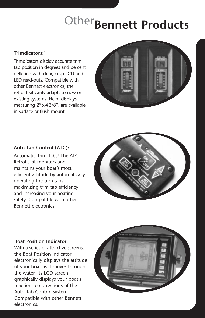# **Other<sub>Bennett</sub> Products**

### **Trimdicators**: ®

Trimdicators display accurate trim tab position in degrees and percent deflction with clear, crisp LCD and LED read-outs. Compatible with other Bennett electronics, the retrofit kit easily adapts to new or existing systems. Helm displays, measuring 2"x4 3/8", are available in surface or flush mount.



## **Auto Tab Control (ATC):**

Automatic Trim Tabs! The ATC Retrofit kit monitors and maintains your boat's most efficient attitude by automatically operating the trim tabs – maximizing trim tab efficiency and increasing your boating safety. Compatible with other Bennett electronics.



#### **Boat Position Indicator**:

With a series of attractive screens, the Boat Position Indicator electronically displays the attitude of your boat as it moves through the water. Its LCD screen graphically displays your boat's reaction to corrections of the Auto Tab Control system. Compatible with other Bennett electronics.

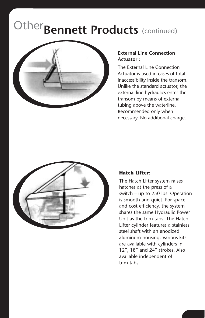# Other**Bennett Products** (continued)



## **External Line Connection Actuator** :

The External Line Connection Actuator is used in cases of total inaccessibility inside the transom. Unlike the standard actuator, the external line hydraulics enter the transom by means of external tubing above the waterline. Recommended only when necessary. No additional charge.



# **Hatch Lifter:**

The Hatch Lifter system raises hatches at the press of a switch – up to 250 lbs. Operation is smooth and quiet. For space and cost efficiency, the system shares the same Hydraulic Power Unit as the trim tabs. The Hatch Lifter cylinder features a stainless steel shaft with an anodized aluminum housing. Various kits are available with cylinders in 12", 18" and 24" strokes. Also available independent of trim tabs.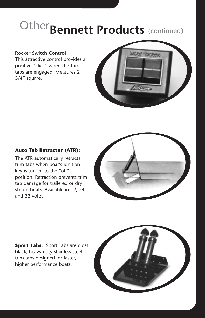# Other**Bennett Products** (continued)

### **Rocker Switch Control** :

This attractive control provides a positive "click" when the trim tabs are engaged. Measures 2 3/4" square.



### **Auto Tab Retractor (ATR):**

The ATR automatically retracts trim tabs when boat's ignition key is turned to the "off" position. Retraction prevents trim tab damage for trailered or dry stored boats. Available in 12, 24, and 32 volts.



**Sport Tabs:** Sport Tabs are gloss black, heavy duty stainless steel trim tabs designed for faster, higher performance boats.